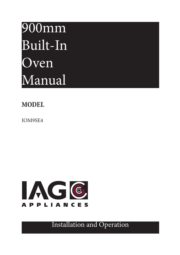# 900mm Built-In Oven Manual

# **MODEL**

IOM9SE4



Installation and Operation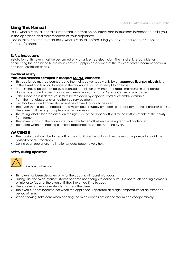#### **Using This Manual**

This Owner's Manual contains important information on safety and instructions intended to assist you in the operation and maintenance of your appliance.

Please take the time to read this Owner's Manual before using your oven and keep this book for future reference.

#### **Safety Instructions**

Installation of this oven must be performed only by a licensed electrician. The installer is responsible for connecting the appliance to the mains power supply in observance of the relevant safety recommendations and local Australian codes.

#### **Electrical safety**

#### *If the oven has been damaged in transport, DO NOT connect it.*

- This appliance must be connected to the mains power supply only by an **approved licensed electrician.**
- In the event of a fault or damage to the appliance, do not attempt to operate it.
- Repairs should be performed by a licensed technician only. Improper repair may result in considerable danger to you and others. If your oven needs repair, contact a Service Centre or your dealer.
- If the supply cord is defective, it must be replaced by a special cord or assembly available from the manufacturer or an authorised service agent.
- Electrical leads and cables should not be allowed to touch the oven.
- The oven should be connected to the mains power supply by means of an approved circuit breaker or fuse. Never use multiple plug adapters or extension leads.
- The rating label is located either on the right side of the door or affixed to the bottom of side of the cavity front frame.
- The power supply of the appliance should be turned off when it is being repaired or cleaned.
- Take care when connecting electrical appliances to sockets near the oven.

#### **WARNINGS**

- The appliance should be turned off at the circuit breaker or board before replacing lamps to avoid the possibility of electric shock.
- During oven operation, the interior surfaces become very hot.

#### **Safety during operation**



Caution ,hot surface

- This oven has been designed only for the cooking of household foods.
- During use, the oven interior surfaces become hot enough to cause burns. Do not touch heating elements or interior surfaces of the oven until they have had time to cool.
- Never store flammable materials in or near the oven.
- The oven surfaces become hot when the appliance is operated at a high temperature for an extended period of time.
- When cooking, take care when opening the oven door as hot air and steam can escape rapidly.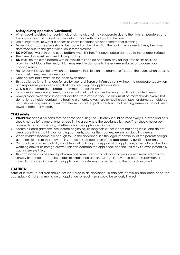#### **Safety during operation (Continued)**

- When cooking dishes that contain alcohol, the alcohol may evaporate due to the high temperatures and the vapour can catch fire if it comes into contact with a hot part of the oven.
- Use of high-pressure water cleaners or steam jet cleaners is not permitted for cleaning.
- Frozen foods such as pizzas should be cooked on the wire grill. If the baking tray is used, it may become deformed due to the great variation in temperatures.
- **DO NOT** pour water into the oven bottom when it is hot. This could cause damage to the enamel surface.
- The oven door must be closed during cooking.
- **DO NOT** line the oven bottom with aluminium foil and do not place any baking trays or tins on it. The aluminium foil blocks the heat, which may result in damage to the enamel surfaces and cause poor cooking results.
- Fruit juices will leave stains, which can become indelible on the enamel surfaces of the oven. When cooking very moist cakes, use the deep pan.
- Does not rest bake ware on the open oven door.
- This appliance is not intended for use by young children or infirm persons without the adequate supervision of a responsible person ensuring that they are using the appliance safely.
- Only use the temperature probe recommended for this oven.
- If a cooking time is not entered, the oven will shut itself off after the lengths of time indicated below.
- Always place oven racks in desired location while oven is cool. If a rack must be moved while oven is hot, do not let potholder contact the heating elements. Always use dry potholders. Moist or damp potholders on hot surfaces may result in burns from steam. Do not let potholder touch hot heating elements. Do not use a towel or other bulky cloth.

#### **Child safety**

- **WARNING**: Accessible parts may become hot during use. Children should be kept away. Children and pets should not be left alone or unattended in the area where the appliance is in use. They should never be allowed to play in its vicinity, whether or not the appliance is in use.
- Secure all loose garments, etc. before beginning. Tie long hair so that it does not hang loose, and do not wear loose fitting clothing or hanging garments, such as ties, scarves, jewelry, or dangling sleeves.
- When children become old enough to use the appliance, it is the legal responsibility of the parents or legal guardians to ensure that they are instructed in safe operation of the appliance by qualified persons.
- Do not allow anyone to climb, stand, lean, sit, or hang on any part of an appliance, especially on the door, warming drawer or storage drawer. This can damage the appliance, and the unit may tip over, potentially causing severe injury.
- This appliance can be used by children age from 8 years and above and persons with reduced physical, sensory or mental capabilities or lack of experience and knowledge if they have proper supervision or instruction concerning use of the appliance in a safe way and understand the hazards involved.

#### **CAUTION:**

Items of interest to children should not be stored in an appliance, in cabinets above an appliance or on the backsplash. Children climbing on an appliance to reach items could be seriously injured.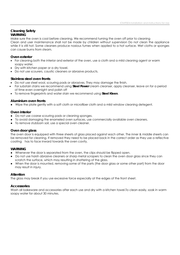#### **Cleaning Safety WARNING**

Make sure the oven is cool before cleaning. We recommend turning the oven off prior to cleaning Clean and user maintenance shall not be made by children without supervision Do not clean the appliance while it is still hot. Some cleaners produce noxious fumes when applied to a hot surface. Wet cloths or sponges can cause burns from steam.

#### **Oven exterior**

- For cleaning both the interior and exterior of the oven, use a cloth and a mild cleaning agent or warm soapy water.
- Dry with kitchen paper or a dry towel.
- Do not use scourers, caustic cleaners or abrasive products.

#### **Stainless steel oven fronts**

- Do not use steel wool, scouring pads or abrasives. They may damage the finish.
- For substain stains we recommend using **Steel Power** cream cleanser, apply cleanser, leave on for a period of time even overnight and polish off
- To remove fingerprints and water stain we recommend using **Steel Kleen**.

#### **Aluminium oven fronts**

● Wipe the plate gently with a soft cloth or microfiber cloth and a mild window cleaning detegent.

#### **Oven interior**

- Do not use coarse scouring pads or cleaning sponges.
- To avoid damaging the enameled oven surfaces, use commercially available oven cleaners.
- To remove stubborn soil, use a special oven cleaner.

#### **Oven door glass**

The oven door is equipped with three sheets of glass placed against each other. The inner & middle sheets can be removed for cleaning. If removed they need to be placed back in the correct order as they use a reflective coating has to face inward towards the oven cavity.

#### **WARNING**

- Whenever the door is separated from the oven, the clips should be flipped open.
- Do not use harsh abrasive cleaners or sharp metal scrapers to clean the oven door glass since they can scratch the surface, which may resulting in shattering of the glass.
- When the door is mounted, removing some of the parts (the door glass or some other part) from the door may result in injury.

#### **Attention**

The glass may break if you use excessive force especially at the edges of the front sheet.

#### **Accessories**

Wash all bakeware and accessories after each use and dry with a kitchen towel.To clean easily, soak in warm soapy water for about 30 minutes.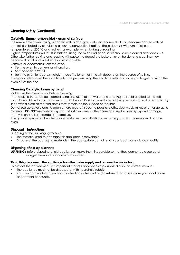#### **Cleaning Safety (Continued)**

#### **Catalytic Liners (removable) - enamel surface**

The removable cover casing is coated with a dark gray catalytic enamel that can become coated with oil and fat distributed by circulating air during convection heating. These deposits will burn off at oven temperatures of 200 °C and higher, for example, when baking or roasting.

Higher temperatures will result in faster burning.The oven and accessories should be cleaned after each use. Otherwise further baking and roasting will cause the deposits to bake on even harder and cleaning may become difficult and in extreme cases impossible.

Remove all accessories from the oven. ● Set the oven to conventional function

- Set the heat to  $250 \degree C$ .
- Run the oven for approximately 1 hour. The length of time will depend on the degree of soiling.

It is a good idea to set the finish time for the process using the end time setting, in case you forget to switch the oven off at the end.

#### **Cleaning Catalytic Liners by hand**

Make sure the oven is cool before cleaning.

The catalytic liners can be cleaned using a solution of hot water and washing-up liquid applied with a soft nylon brush. Allow to dry in drainer or out in the sun. Due to the surface not being smooth do not attempt to dry liners with a cloth as material fibres may remain on the surface of the liner.

Do not use abrasive cleaning agents, hard brushes, scouring pads or cloths, steel wool, knives or other abrasive materials. **DO NOT** use oven sprays on catalytic enamel as the chemicals used in oven sprays will damage catalytic enamel and render it ineffective.

If using oven sprays on the interior oven surfaces, the catalytic cover casing must first be removed from the oven.

#### **Disposal Instructions**

Disposing of the packaging material

- The material used to package this appliance is recyclable.
- Dispose of the packaging materials in the appropriate container at your local waste disposal facility

#### **Disposing of old appliances**

**WARNING:** Before disposing of old appliances, make them inoperable so that they cannot be a source of danger. Removal of doors is also advised.

#### **To do this, disconnect the appliance from the mains supply and remove the mains lead.**

To protect the environment, it is important that old appliances are disposed of in the correct manner.

- The appliance must not be disposed of with household rubbish.
- You can obtain information about collection dates and public refuse disposal sites from your local refuse department or council.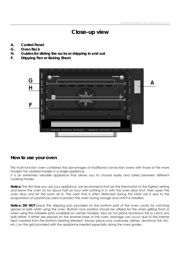# **Close-up view**

- **A. Control Panel**
- **G. Oven Rack**
- **H. Guides for sliding the racks or dripping in and out**
- **F. Dripping Pan or Baking Sheet**



#### **How to use your oven**

This multi-function oven combines the advantages of traditional convection ovens with those of the more modern fan assisted models in a single appliance.

It is an extremely versatile appliance that allows you to choose easily and safely between different cooking modes.

**Notice:** The first time you use your appliance, we recommend that set the thermostat to the highest setting and leave the oven on for about half an hour with nothing in it, with the oven door shut. Then open the oven door and let the room air in. The odor that is often detected during this initial use is due to the evaporation of substances used to protect the oven during storage and until it is installed.

**Notice: DO NOT** place the dripping pan provided on the bottom part of the oven cavity for catching grease or spills whilst using the oven. Bottom rack position should be utilized for this when grilling food or when using the rotisserie (only available on certain models). Also do not place aluminium foil to catch any spills either. If either are placed on the enamel base of the oven, damage can occur due to the intense heat created from the bottom heating element. Always place your cookware (dishes, aluminum foil, etc. etc.) on the grid provided with the appliance inserted especially along the oven guides.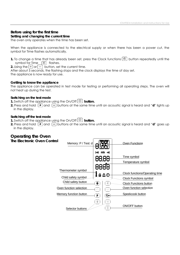#### **Before using for the first time**

#### **Setting and changing the current time**

The oven only operates when the time has been set.

When the appliance is connected to the electrical supply or when there has been a power cut, the symbol for Time flashes automatically.

- **1.** To change a time that has already been set, press the Clock functions  $\circled{0}$  button repeatedly until the symbol for Time  $\lbrack \oplus \rbrack$  flashes.
- **2.** Using the  $\pm$  or  $\pm$  button, set the current time.

After about 5 seconds, the flashing stops and the clock displays the time of day set. The appliance is now ready for use.

#### **Getting to know the appliance**

The appliance can be operated in test mode for testing or performing all operating steps. The oven will not heat up during the test.

#### **Switching on the test mode**

**1.** Switch off the appliance using the On/Off  $\left(\begin{matrix} 0 \\ 0 \end{matrix}\right)$  button.

**2.** Press and hold  $\overline{P}$  and  $\overline{+}$  buttons at the same time until an acoustic signal is heard and "**d**" lights up in the display.

#### **Switching off the test mode**

- **1.** Switch off the appliance using the On/Off **button.**
- **2.** Press and hold  $\overline{P}$  and  $\overline{+}$  buttons at the same time until an acoustic signal is heard and "**d**" goes up in the display.

#### **Operating the Oven The Electronic Oven Control**

| trol<br>Memory: P / Test: d |               | <b>Oven Functions</b>          |
|-----------------------------|---------------|--------------------------------|
|                             |               |                                |
|                             | i→i min →i    |                                |
|                             |               | Time symbol                    |
|                             |               | Temperature symbol             |
|                             |               |                                |
| Thermometer symbol          |               | Clock functions/Operating time |
| Child safety symbol         | 1000          | <b>Clock Functions symbol</b>  |
| Child safety button         | €<br>$^{(4)}$ | <b>Clock Functions button</b>  |
| Oven function selection     |               | Oven function selection        |
| Memory function button      | ζ#<br>₽       | Speekcook button               |
| Selector buttons            | $^+$          | ON/OFF button                  |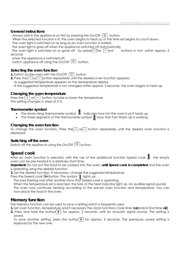IOM9SE4 Installation and Instructions for Use

#### **General instructions**

- $\cdot$  Always switch the appliance on first by pressing the On/Off  $\boxed{0}$  button.
- · When the selected function is lit, the oven begins to heat up or the time set begins to count down.
- · The oven light is switched on as long as an oven function is started.

The oven light is goes off when the appliance switched off automatically.

The oven light is switched on or gone off by pressir $\bigcirc$ he  $\bigcirc$ ind buttons in turn ,within approx. 2 seconds

when the appliance is switched off.

 $\cdot$  Switch appliance off using the On/Off  $\Box$  button.

#### **Selecting the oven function**

**1.** Switch on the oven with the On/Off  $\left(\overline{\mathbb{O}}\right)$  button.

**2.** Press the  $\bigcirc$  or  $\bigcirc$  button repeatedly until the desired oven function appears.

 **·**A suggested temperature appears on the temperature display.

**·**If the suggested temperature is not changed within approx. 5 seconds, the oven begins to heat up.

#### **Changing the oven temperature**

Press the  $\Box$  or  $\Box$  button, to raise or lower the temperature. The setting changes in steps of  $5^{\circ}$ C.

#### **Thermometer symbol**

- The slowly rising thermometer symbol  $\blacksquare$  indicates how hot the oven is as it heats up.
- The three segments of the thermometer symbol  $\parallel$  show that Fast Warm Up is working.

#### **Changing the oven function**

To change the oven function, Press the  $\sim$  or  $\vee$  button repeatedly until the desired oven function is displayed.

#### **Switching off the oven**

Switch off the appliance using the On/Off  $\overline{\mathbb{O}}$  button.

#### **Speed cook**

After an oven function is selected, with the use of the additional function Speed cook  $\blacksquare$  the empty oven can be pre-heated in a relatively short time.

**Important:** Do not put the food to be cooked into the oven, **until Speed cook is completed** and the oven is operating using the desired function.

**1.** Set the desired function. If necessary, change the suggested temperature.

Press the Speed cook  $\overline{c}$  button. The symbol  $\parallel$  lights up:

The bars flashing one after another show that Speed cook is operating.

 When the temperature set is reached, the bars of the heat indicator light up. An audible signal sounds. The oven now continues heating according to the pre-set oven function and temperature. You can now place the food in the oven.

#### **Memory function**

The Memory function can be used to save a setting which is frequently used.

**1.** Set oven function, temperature and If necessary the clock functions Cook time  $\Box$  and/or End time  $\Box$ .

**2.** Press and hold the button  $\boxed{P}$  for approx. 2 seconds, until an acoustic signal sounds. The setting is saved.

To save another setting, press the buttor  $\boxed{\mathbf{P}}$  for approx. 2 seconds. The previously saved setting is replaced by the new one.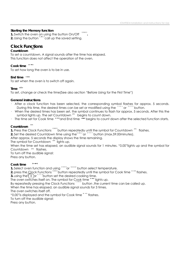#### **Starting the Memory function**

**1.** Switch the oven on using the button On/Off **.**

**2.** Using the button <sup>cond</sup> call up the saved setting.

#### **Clock Functions**

#### **Countdown**

To set a countdown. A signal sounds after the time has elapsed. This function does not affect the operation of the oven.

#### **Cook time**

To set how long the oven is to be in use.

#### **End time**

To set when the oven is to switch off again.

#### **Time**

To set, change or check the time(See also section "Before Using for the First Time")

#### **General instructions**

- · After a clock function has been selected, the corresponding symbol flashes for approx. 5 seconds. During this time, the desired times can be set or modified using the  $\equiv$  or  $\equiv$  button.
- · When the desired times has been set, the symbol continues to flash for approx. 5 seconds. After this the symbol lights up. The set Countdown  $\hat{\phantom{a}}$  begins to count down.
- The time set for Cook time <sup>1-1</sup> and End time  $\rightarrow$  begins to count down after the selected function starts.

#### **Countdown**

**1.** Press the Clock Functions button repeatedly until the symbol for Countdown **fill** flashes.

**2.** Set the desired Countdown time using the or button (max.59.00minutes).

After approx. 5 seconds the display shows the time remaining.

The symbol for Countdown  $\hat{\ }$  lights up.

When the time set has elapsed, an audible signal sounds for 1 minutes. "0.00"lights up and the symbol for Countdown  $\widehat{\phantom{a}}$  flashes.

To turn off the audible signal: Press any button.

#### **Cook time**

**1.** Select oven function and using or button select temperature.

**2.** press the Clock Functions button repeatedly until the symbol for Cook time <sup>from</sup> flashes. **3.** using the  $\left( + \right)$  or button set the desired cooking time.

The oven switches itself on. The symbol for Cook time <sup>1</sup> lights up.

By repeatedly pressing the Clock Functions button, the current time can be called up.

When the time has elapsed, an audible signal sounds for 3 times.

The oven switches itself off.

"0.00"is displayed and the symbol for Cook time "<sup>++</sup> flashes.

To turn off the audible signal:

Press any button.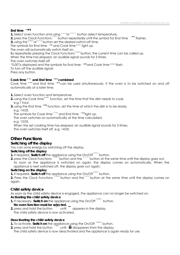#### **End time**

**1.** Select oven function and using or button select temperature.

2. press the Clock Functions button repeatedly until the symbol for End time<sup>++</sup> flashes.

**3.** using the <sup>order</sup> or button set the desired switch-off time.

The symbols for End time  $\rightarrow$  and Cook time  $\rightarrow$  light up.

The oven will automatically switch itself on.

By repeatedly pressing the Clock Functions button, the current time can be called up.

When the time has elapsed, an audible signal sounds for 3 times.

The oven switches itself off.

"0.00" is displayed and the symbols for End time  $\rightarrow$ " and Cook time  $\rightarrow$ " flash.

To turn off the audible signal:

Press any button.

#### Cook time "<sup>--</sup>" and End time <sup>-->"</sup> combined

Cook time  $\rightarrow$  and End time  $\rightarrow$  can be used simultaneously, if the oven is to be switched on and off automatically at a later time.

- **1.** Select oven function and temperature.
- **2.** using the Cook time <sup>\*\*\*</sup> function, set the time that the dish needs to cook,

e.g,1 hour.

**3.** using the End time  $\rightarrow$  function, set the time at which the dish is to be ready, e.g. 14:05.

The symbols for Cook time  $\rightarrow$  and End time  $\rightarrow$  light up.

The oven switches on automatically at the time calculated,

e.g. 13:05.

When the set cooking time has elapsed, an audible signal sounds for 3 times.

The oven switches itself off, e.g. 14:05.

### **Other Functions**

#### **Switching off the display**

You can save energy by switching off the display.

#### **Switching off the display**

- **1.** If required, **Switch off** the appliance using the On/Off button.
- **2.** press the Clock Functions **button and the button at the same time until the display goes out.** As soon as the appliance is switched on again, the display comes on automatically. When the appliance is next switched off, the display goes out again.

#### **Switching on the display**

**1.** If required, Switch off the appliance using the On/Off<sup>"</sup> button.

**2.** Press the Clock Functions button and the button at the same time until the display comes on again.

#### **Child safety device**

As soon as the child safety device is engaged, the appliance can no longer be switched on.

#### **Activating the child safety device**

- **1.** If necessary, **Switch on** the appliance using the On/Off<sup>""</sup> button.  **No oven function must be selected.**
- **2.** press and hold the button until appears in the display. The child safety device is now activated.

#### **Deactivating the child safety device**

**1.** To activate, **Switch on** the appliance using the On/Off  $\Box$  button.

- **2.** press and hold the button  $\Box$  until  $\Box$  disappears from the display.
- The child safety device is now deactivated and the appliance is again ready for use.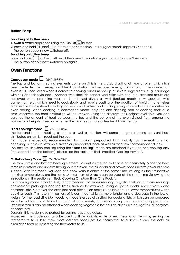#### **Button Beep**

#### **Switching off button beep**

- **1. Switch off** the appliance using the  $On/Off$  button.
- **2.** press and hold  $\left( + \right)$  and  $\left( \right)$  buttons at the same time until a signal sounds (approx.2 seconds). The button beep is now switched off.

#### **Switching on button beep**

press and hold  $\overline{+}$  and  $\overline{-}$  buttons at the same time until a signal sounds (approx.2 seconds). The button beep is now switched on again.

#### **Oven Functions**

#### **Convection mode** 2540-2988W

The top and bottom heating elements come on .This is the classic ,traditional type of oven which has been perfected ,with exceptional heat distribution and reduced energy consumption .The convection oven is still unequalled when it comes to cooking dishes made up of several ingredients ,e. g. cabbage with ribs ,Spanish style cod, Ancona style stockfish, tender veal strips with rice, etc. Excellent results are achieved when preparing veal or beef-based dishes as well (braised meats ,stew ,goulash, wild game ,ham etc. )which need to cook slowly and require basting or the addition of liquid .It nonetheless remains the best system for baking cakes as well as fruit and cooking using covered casserole dishes for oven baking .When cooking in convection mode ,only use one dripping pan or cooking rack at a time ,otherwise the heat distribution will be uneven .Using the different rack heights available, you can balance the amount of heat between the top and the bottom of the oven .Select from among the various rack heights based on whether the dish needs more or less heat from the top .

#### **"Fast cooking" Mode** 2561-3005W

The top and bottom heating elements, as well as the fan ,will come on ,guaranteeing constant heat distributed uniformly throughout the oven.

This mode is especially recommended for cooking prepacked food quickly (as pre-heating is not necessary),such as for example: frozen or pre-cooked food) as well as for a few "home-made" dishes.

The best results when cooking using the "**Fast cooking**" mode are obtained if you use one cooking only (the second from the bottom), please see the table entitled "Practical Cooking Advice".

#### **Multi-Cooking Mode** 2733-3278W

The top、circle and bottom heating elements, as well as the fan ,will come on alternately .Since the heat remains constant and uniform throughout the oven, the air cooks and browns food uniformly over its entire surface. With this mode ,you can also cook various dishes at the same time ,as long as their respective cooking temperatures are the same .A maximum of 2 racks can be used at the same time ,following the instructions in the section entitled:"Cooking On More Than One Rack ".

This cooking mode is particularly recommended for dishes requiring a gratin finish or for those requiring considerably prolonged cooking times, such as for example: lasagne, pasta backs, roast chicken and potatoes, etc..Moreover the excellent heat distribution makes it possible to use lower temperatures when cooking roasts. This results in less loss of juices, meat which is more tender and a decrease in the loss of weight for the roast .The Multi-cooking mode is especially suited for cooking fish, which can be prepared with the addition of a limited amount of condiments, thus maintaining their flavor and appearance. Excellent results can be attained when cooking vegetable-based side dishes like courgettes, aubergines, peppers ,etc...

Desserts: this mode is also perfect for baking leavened cakes.

Moreover ,this mode can also be used to thaw quickly white or red meat and bread by setting the temperature to 80°C.To thaw more delicate foods ,set the thermostat to 60°Cor use only the cold air circulation feature by setting the thermostat to 0°C.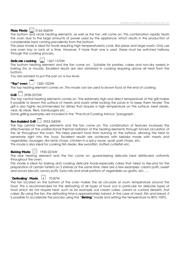#### **Pizza Mode** 3166-3660W

The bottom and circle heating elements, as well as the fan ,will come on. This combination rapidly heats the oven due to the large amounts of power used by the appliance, which results in the production of considerable heat coming prevalently from the bottom.

The pizza mode is ideal for foods requiring high temperaturesto cook, like pizzas and large roasts. Only use one oven tray or rack at a time. However, if more than one is used ,these must be switched halfway through the cooking process.

**Delicate cooking** 1367-1570W

The bottom heating element and the fan come on. Suitable for pastries, cakes and non-dry sweets in baking tins or moulds. Excellent results are also obtained in cooking requiring above all heat from the bottom.

You are advised to put the pan on a low level.

#### **"Top" oven** 1330-1523W

The top heating element comes on .This mode can be used to brown food at the end of cooking .

#### **Grill** 2928-3375W

The top central heating elements comes on .The extremely high and direct temperature of the grill makes it possible to brown the surface of meats and roasts while locking the juices in to keep them tender .The grill is also highly recommended for dishes that require a high temperature on the surface: beef steaks, veal, rib steak, filets, hamburgers etc …

Some grilling examples are included in the "Practical Cooking Advice "paragraph .

#### **Fan Assisted Grill** 2953-3400W

The top central heating elements and the fan come on. This combination of features increases the effectiveness of the unidirectional thermal radiation of the heating elements through forced circulation of the air throughout the oven. This helps prevent food from burning on the surface, allowing the heat to penetrate right into the food. Excellent results are achieved with kebabs made with meats and vegetables, sausages, ribs lamb chops, chicken in a spicy sause, quail, pork chops, etc.

This mode is also ideal for cooking fish steaks, like swordfish, stuffed cuttlefish etc.

#### **Baking Mode** 1950-2276W

The rear heating element and the fan come on, guaranteeing delicate heat distributed uniformly throughout the oven.

This mode is ideal for baking and cooking delicate foods-especially cakes that need to rise-and for the preparation of certain tartlets on 3 shelves at the same time. Here are a few examples: cream puffs, sweet and savory biscuits, savory puffs, Swiss rolls and small portions of vegetables au gratin, etc. ….

## "Defrosting" Mode <sup>[37]</sup> 70-87W



The fan located on the bottom of the oven makes the air circulate at room temperature around the food .This is recommended for the defrosting of all types of food ,but in particular for delicate types of food which do not require heat ,such as for example :ice cream cakes ,cream or custard desserts ,fruit cakes .By using the fan ,the defrosting time is approximately halved .In the case of meat ,fish and bread ,it is possible to accelerate the process using the "**Baking**" mode and setting the temperature to 80°C-100°C.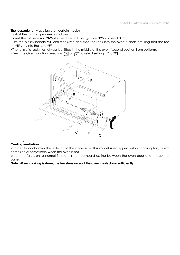**The rotisserie** (only available on certain models)

To start the turnspit, proceed as follows:

· Insert the rotisserie rod **"A"** into the drive unit and groove **"B"** into bend **"C"**;

·Turn the plastiv handle **"D"** anti clockwise and slide the rack into the oven runners ensuring that the rod **"E"** slots into the hole **"F"**;

· The rotisserie rack must always be fitted in the middle of the oven (second position from bottom);

· Press the Oven function selection  $\lceil \bigcirc \rceil$  or  $\lceil \bigcirc \rceil$  to select setting  $\lceil \bigcirc \rceil / \lceil \mathbf{x} \rceil$ 



#### **Cooling ventilation**

.

In order to cool down the exterior of the appliance, this model is equipped with a cooling fan, which comes on automatically when the oven is hot.

When the fan is on, a normal flow of air can be heard exiting between the oven door and the control panel.

**Note: When cooking is done, the fan stays on until the oven cools down sufficiently.**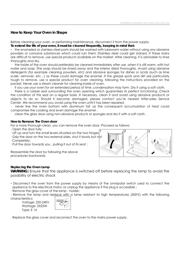#### **How to Keep Your Oven in Shape**

Before cleaning your oven, or performing maintenance, disconnect it from the power supply. **To extend the life of your oven, it must be cleaned frequently, keeping in mind that:**

**·** the enameled or stainless steel parts should be washed with lukewarm water without using any abrasive powders or corrosive substances which could ruin them ;Stainless steel could get stained .If these stains are difficult to remove, use special products available on the market. After cleaning, it is advisable to rinse thoroughly and dry.

· the inside of the oven should preferably be cleaned immediately after use ,when it is still warm ,with hot water and soap ;The soap should be rinsed away and the interior dried thoroughly. Avoid using abrasive detergents (for example cleaning powders, etc) and abrasive sponges for dishes or acids (such as lime scale –remover, etc…) as these could damage the enamel .If the grease spots and dirt are particularly tough to remove, use a special product for oven cleaning, following the instructions provided on the packet. Never use a steam cleaner for cleaning inside of oven.

· if you use your oven for an extended period of time ,condensation may form .Dry it using a soft cloth.

· there is a rubber seal surrounding the oven opening which guarantees its perfect functioning .Check the condition of this seal on a regular basis .If necessary, clean it and avoid using abrasive products or objects to do so. Should it become damaged, please contact you're nearest After-sales Service Center .We recommend you avoid using the oven until it has been repaired.

· never line the oven bottom with aluminum foil ,as the consequent accumulation of heat could compromise the cooking and even damage the enamel .

· clean the glass door using non-abrasive products or sponges and dry it with a soft cloth .

#### **How to Remove The Oven door**

For a more thorough clean, you can remove the oven door. Proceed as follows:

- · Open the door fully;
- · Lift up and turn the small levers situated on the two hinges;
- · Grip the door on the two external sides, shut it slowly but not Completely;
- · Pull the door towards you , pulling it out of its seat ;

Reassemble the door by following the above procedures backwards.



#### **Replacing the Oven Lamp**

**WARNING:** Ensure that the appliance is switched off before replacing the lamp to avoid the possibility of electric shock

**·** Disconnect the oven from the power supply by means of the omnipolar switch used to connect the appliance to the electrical mains ;or unplug the appliance if the plug is accessible ; · Remove the glass cover of the lamp - holder;

· Remove the lamp and replace with a lamp resistant to high temperatures (300°C) with the following

characteristics:

 Voltage: 220-240V Wattage: 2X25W Type: E 14



· Replace the glass cover and reconnect the oven to the mains power supply.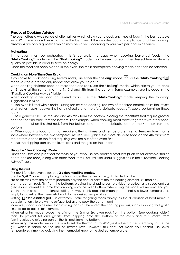#### **Practical Cooking Advice**

The oven offers a wide range of alternatives which allow you to cook any type of food in the best possible way. With time you will learn to make the best use of this versatile cooking appliance and the following directions are only a guideline which may be varied according to your own personal experience.

#### **Preheating**

If the oven must be preheated (this is generally the case when cooking leavened foods), the "**Multi-Cooking**" mode and the **"Fast cooking"** mode can be used to reach the desired temperature as quickly as possible in order to save on energy .

Once the food has been placed in the oven, the most appropriate cooking mode can then be selected.

#### **Cooking on More Than One Rack**

If you have to cook food using several racks, use either the "**baking**" mode  $\circledB$  or the "**Multi-Cooking**"  $\circledB$ mode**,** as these are the only modes that allow you to do so.

When cooking delicate food on more than one rack, use the "**baking**" mode, which allows you to cook on 3 racks at the same time (the 1st 3rd and 5th from the bottom).Some examples are included in the "Practical Cooking Advice" table.

When cooking other food on several racks, use the "**Multi-Cooking**" mode keeping the following suggestions in mind:

· The oven is fitted with 5 racks .During fan assisted cooking, use two of the three central racks; the lowest and highest racks receive the hot air directly and therefore delicate foodstuffs could be burnt on these racks.

As a general rule , use the 2nd and 4th rack from the bottom , placing the foodstuffs that require greater heat on the 2nd rack from the bottom .For example, when cooking meat roasts together with other food, place the roast on the 2nd rack from the bottom and the more delicate food on the 4th rack from the bottom.

When cooking foodstuffs that require differing times and temperatures , set a temperature that is somewhere between the two temperatures required ,place the more delicate food on the 4th rack from the bottom and take the food requiring less time out of the oven first .

 $\cdot$  Use the dripping pan on the lower rack and the grid on the upper :

#### **Using the** "**Fast Cooking**" **Mode**

Functional, fast and practical for those of you who use pre-packed products (such as for example :frozen or pre-cooked food) along with other food items .You will find useful suggestions in the "Practical Cooking Advice" table.

#### **Using the Grill**

This multi-function oven offers you **2 different grilling modes.**

Use the "grill "mode  $\Box$ , placing the food under the center of the grill (situated on the

3rd or 4th rack form the bottom )because only the central part of the top heating element is turned on .

Use the bottom rack (1st from the bottom), placing the dripping pan provided to collect any sauce and /or grease and prevent the same from dripping onto the oven bottom. When using this mode, we recommend you set the thermostat to the highest setting. However, this does not mean you cannot use lower temperatures, simply by adjusting the thermostat knob to the desired temperature.

setting  $\boxed{\boxtimes}$  "fan assisted grill ", is extremely useful for grilling foods rapidly ,as the distribution of heat makes it possible not only to brown the surface ,but also to cook the bottom part .

Moreover, it can also be used for browning foods at the end of the cooking process, such as adding that gratin finish to pasta bakes, for example.

When using this mode, place the grid on the 2nd or 3rd oven rack from the bottom (see cooking table) then ,to prevent fat and grease from dripping onto the bottom of the oven and thus smoke from forming ,place a dripping-pan on the 1st rack from the bottom.

When using this mode, we advise you to set the thermostat to 200°C,as it is the most efficient way to use the grill ,which is based on the use of infrared rays .However, this does not mean you cannot use lower temperatures, simply by adjusting the thermostat knob to the desired temperature.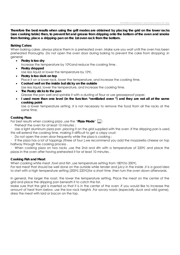**Therefore the best results when using the grill modes are obtained by placing the grid on the lower racks (see cooking table) then, to prevent fat and grease from dripping onto the bottom of the oven and smoke from forming, place a dripping-pan on the 1st oven rack from the bottom.** 

#### **Baking Cakes**

When baking cakes ,always place them in a preheated oven .Make sure you wait until the oven has been preheated thoroughly .Do not open the oven door during baking to prevent the cake from dropping .In general:

**Pastry is too dry** 

Increase the temperature by 10°Cand reduce the cooking time.

- **Pastry dropped**  Use less liquid or lower the temperature by 10°C.
- **Pastry is too dark on top**  Place it on a lower rack, lower the temperature, and increase the cooking time.
- **Cooked well on the inside but sticky on the outside**  Use less liquid, lower the temperature, and increase the cooking time.
- **The Pastry sticks to the pan**  Grease the pan well and sprinkle it with a dusting of flour or use greaseproof paper.
- **I used more than one level (in the function "ventilated oven ") and they are not all at the same cooking point**

Use a lower temperature setting .It is not necessary to remove the food from all the racks at the same time.

#### **Cooking Pizza**

For best results when cooking pizza, use the "**Pizza Mode**" **8**:

- Preheat the oven for at least 10 minutes ;
- Use a light aluminum pizza pan ,placing it on the grid supplied with the oven .If the dripping pan is used, this will extend the cooking time, making it difficult to get a crispy crust;
- Do not open the oven door frequently while the pizza is cooking ;

· If the pizza has a lot of toppings (three of four ),we recommend you add the mozzarella cheese on top halfway through the cooking process .

When cooking pizza on two racks , use the 2nd and 4th with a temperature of 220°C and place the pizzas in the oven after having preheated it for at least 10 minutes .

#### **Cooking Fish and Meat**

When cooking white meat , fowl and fish , use temperature setting from 180°C to 200°C.

For red meat that should be well done on the outside while tender and juicy in the inside ,it is a good idea to start with a high temperature setting (200°C-220°C)for a short time, then turn the oven down afterwards.

In general, the larger the roast, the lower the temperature setting. Place the meat on the center of the grid and place the dripping pan beneath it to catch the fat.

Make sure that the grid is inserted so that it is in the center of the oven .If you would like to increase the amount of heat from below, use the low rack heights .For savory roasts (especially duck and wild game), dress the meat with lard or bacon on the top.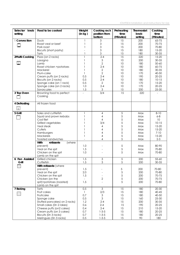| Selector<br>knob | Food to be cooked                   | Weight   | Cooking rack   | Preheating      | Thermostat     | Cooking                |
|------------------|-------------------------------------|----------|----------------|-----------------|----------------|------------------------|
| setting          |                                     | (in kg)  | position from  | time            | knob           | time                   |
| 1 Convection     | <b>Duck</b>                         |          | bottom<br>3    | (Minutes)<br>15 | setting<br>200 | (Minutes)<br>65-75     |
|                  | Roast veal or beef                  |          | 3              | 15              | 200            | 70-75                  |
|                  | Pork roast                          |          | 3              | 15              | 200            | 70-80                  |
|                  | Biscuits (short pastry)             |          | 3              | 15              | 180            | $15 - 20$              |
|                  | Tarts                               |          | 3              | 15              | 180            | $30 - 35$              |
| 2Multi-Cooking   | Pizza (on 2 racks)                  |          | $2 - 4$        | 15              | 220            | $15 - 20$              |
|                  | Lasagna                             |          | $\mathsf 3$    | 10              | 200            | 30-35                  |
| $\circledR$      | Lamb                                |          | $\overline{2}$ | 10              | 180            | 50-60                  |
|                  | Roast chicken +potatoes             |          | $2 - 4$        | 10              | 180            | 60-75                  |
|                  | Mackerel                            |          | $\mathbf 2$    | 10              | 180            | $30 - 35$              |
|                  | Plum-cake                           |          | $\overline{2}$ | 10              | 170            | 40-50                  |
|                  | Cream puffs (on 2 racks)            | 0.5      | $2 - 4$        | 10              | 190            | $20 - 25$              |
|                  | Biscuits (on 2 racks)               | 0.5      | $2 - 4$        | 10              | 180            | $10 - 15$              |
|                  | Sponge cake (on 1 rack)             | 0.5      | 2              | 10              | 170            | $15 - 20$              |
|                  | Sponge cake (on 2 racks)            | 1.0      | $2 - 4$        | 10              | 170            | $20 - 25$              |
|                  | Savory pies                         | 1.5      | $\mathfrak 3$  | 15              | 200            | 25-30                  |
| 3 Top Oven       | Browning food to perfect<br>Cooking |          | 3/4            | 15              | 220            |                        |
| 4 Defrosting     | All frozen food                     |          |                |                 |                |                        |
| $\mathbb{Z}$     |                                     |          |                |                 |                |                        |
| 5 Grill          | Soles and cuttlefish                |          | 4              | $\sqrt{5}$      | Max            | $8 - 10$               |
|                  | Squid and prawn kebabs              |          | 4              | 5               | Max            | $6 - 8$                |
|                  | Cod filet                           |          | 4              | 5               | Max            | 10                     |
|                  | Grilled vegetables                  |          | 3/4            | 5               | Max            | $10 - 15$              |
|                  | Veal steak                          |          | 4              | 5               | Max            | $15 - 20$              |
|                  | Cutlets                             |          | 4              | 5<br>5          | Max<br>Max     | $15 - 20$<br>$7 - 10$  |
|                  | Hamburgers<br>Mackerels             |          | 4<br>4         | 5               | Max            | $15 - 20$              |
|                  | <b>Toasted sandwiches</b>           |          | 4              | 5               | Max            | $2 - 3$                |
|                  | With<br>rotisserie<br>(where        |          |                |                 |                |                        |
|                  | prevent)                            | 1.0      |                | 5               | Max            | 80-90                  |
|                  | Veal on the spit                    | 1.5      |                | 5               | Max            | 70-80                  |
|                  | Chicken on the spit                 | 1.0      |                | 5               | Max            | 70-80                  |
|                  | Lamb on the spit                    |          |                |                 |                |                        |
| 6 Fan Assisted   | Grilled chicken                     | 1.5      | 3              | 5               | 200            | 55-60                  |
| Grill            | Cuttlefish                          | 1.5      | 3              | 5               | 200            | $30 - 35$              |
| $\boxtimes$      | With rotisserie (where              |          |                |                 |                |                        |
|                  | prevent)                            | 1.5      |                | $\sqrt{5}$      | 200            | 70-80                  |
|                  | Veal on the spit                    | 2.0      |                | $\sqrt{5}$      | 200            | 70-80                  |
|                  | Chicken on the spit                 | 1.5      |                | $\sqrt{5}$      | 200            | 70-75                  |
|                  | Chicken (on the                     |          | $\overline{2}$ | 5               | 200            | 70-75                  |
|                  | spit)+potatoes (roasted)            | 1.5      |                | 5               | 200            | 70-80                  |
|                  | Lamb on the spit                    |          |                |                 |                |                        |
| 7 Baking         | Tarts<br>Fruit cakes                | 0.5      | 3              | 15<br>15        | 180<br>180     | $20 - 30$<br>$40 - 45$ |
| Ø                | Fruitcake                           | 1<br>0.7 | 2/3<br>3       | 15              | 180            | 40-50                  |
|                  | Sponge cake                         | 0.5      | $\mathfrak{S}$ | 15              | 160            | 25-30                  |
|                  | Stuffed pancakes) on 2 racks)       | 1.2      | $2 - 4$        | 15              | 200            | $30 - 35$              |
|                  | Small cakes (0n 2 rakes)            | 0.6      | $2 - 4$        | 15              | 190            | $20 - 25$              |
|                  | Cheese puffs (on2 cakes)            | 0.4      | $2 - 4$        | 15              | 210            | $15 - 20$              |
|                  | Cream puffs (on 3 cakes)            | 0.7      | $1 - 3 - 5$    | 15              | 180            | $20 - 25$              |
|                  | Biscuits (On 3 racks)               | 0.7      | $1 - 3 - 5$    | 15              | 180            | $20 - 25$              |
|                  | Meringues (0n 3 racks)              | 0.5      | $1 - 3 - 5$    | 15              | 90             | 180                    |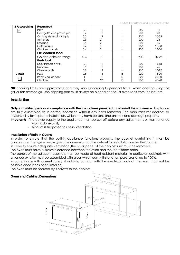| 8 Fast cooking          | Frozen food               |     |                |    |     |           |
|-------------------------|---------------------------|-----|----------------|----|-----|-----------|
| $\overline{\mathbb{Z}}$ | Pizza                     | 0.3 | $\overline{2}$ |    | 250 | $12 \,$   |
|                         | Courgette and prawn pie   | 0.4 | 2              |    | 200 | 20        |
|                         | Country style spinach pie | 0.5 |                |    | 220 | $30 - 35$ |
|                         | <b>Turnovers</b>          | 0.3 | 2              |    | 200 | 25        |
|                         | Lasagne                   | 0.5 | $\overline{2}$ |    | 200 | 35        |
|                         | Golden Rolls              | 0.4 | $\overline{2}$ |    | 180 | $25 - 30$ |
|                         | Chicken morseis           | 0.4 | $\overline{2}$ |    | 220 | $15 - 20$ |
|                         | Pre-cooked food           |     |                |    |     |           |
|                         | Golden chicken wings      | 0.4 | $\mathcal{P}$  |    | 200 | $20 - 25$ |
|                         | <b>Fresh Food</b>         |     |                |    |     |           |
|                         | Biscuits (short pastry)   | 0.3 | 2              |    | 200 | $15 - 18$ |
|                         | Fruitcake                 | 0.6 |                |    | 180 | 45        |
|                         | Cheese puffs              | 0.2 | 2              |    | 210 | $10 - 12$ |
| 9 Pizza                 | Pizza                     | 0.5 | 3              | 15 | 220 | $15 - 20$ |
|                         | Roast yeal or beef        |     | 2              | 10 | 220 | 25-30     |
| $ \mathbb{Q} $          | Chicken                   |     | 2/3            | 10 | 180 | 60-70     |

**NB:** cooking times are approximate and may vary according to personal taste .When cooking using the grill or fan assisted grill, the dripping pan must always be placed on the 1st oven rack from the bottom.

#### **Installation**

**Only a qualified person in compliance with the instructions provided must install the appliance.** Appliance are fully assembled as in normal operation without any parts removed .The manufacturer declines all responsibility for improper installation, which may harm persons and animals and damage property. **Important:** - The power supply to the appliance must be cut off before any adjustments or maintenance

work is done on it;

- Air duct is supposed to use in Ventilation.

#### **Installation of Built-in Ovens**

In order to ensure that the built-in appliance functions properly, the cabinet containing it must be appropriate .The figure below gives the dimensions of the cut-out for installation under the counter .

In order to ensure adequate ventilation, the back panel of the cabinet unit must be removed.

The oven must have a 40mm clearance between the oven and the rear timber panel.

The panels of the adjacent cabinets must be made of heat-resistant material .In particular ,cabinets with a veneer exterior must be assembled with glues which can withstand temperatures of up to 100°C.

In compliance with current safety standards, contact with the electrical parts of the oven must not be possible once it has been installed.

The oven must be secured by 4 screws to the cabinet.

#### **Oven and Cabinet Dimensions**

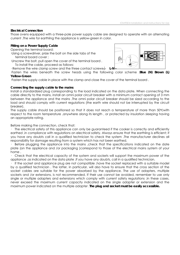#### **Electrical Connection**

Those ovens equipped with a three-pole power supply cable are designed to operate with an alternating current .The wire for earthling the appliance is yellow-green in color.

#### **Fitting on a Power Supply Cable**

Opening the terminal board:

·Using a screwdriver, prize the bolt on the side tabs of the terminal board cover ;

·Unscrew the bolt, pull open the cover of the terminal board . To install the cable, proceed as follows:

 $\cdot$  Remove the wire clamp screw and the three contact screws  $\pm$  **L-N** 

·Fasten the wires beneath the screw heads using the following color scheme :**Blue (N) Brown (L) Yellow-Green**

·Fasten the supply cable in place with the clamp and close the cover of the terminal board .

#### **Connecting the supply cable to the mains**

Install a standardized plug corresponding to the load indicated on the data plate. When connecting the cable directly to the mains, install an omni polar circuit breaker with a minimum contact opening of 3 mm between the appliance and the mains .The omni polar circuit breaker should be sized according to the load and should comply with current regulations (the earth wire should not be interrupted by the circuit breaker).

The supply cable should be positioned so that it does not reach a temperature of more than 50°Cwith respect to the room temperature ,anywhere along its length, or protected by insulation sleeping having an appropriate rating.

#### Before making the connection, check that:

The electrical safety of this appliance can only be guaranteed if the cooker is correctly and efficiently earthed ,in compliance with regulations on electrical safety. Always ensure that the earthling is efficient; if you have any doubts call in a qualified technician to check the system .The manufacturer declines all responsibility for damage resulting from a system which has not been earthed.

Before plugging the appliance into the mains ,check that the specifications indicated on the date plate (on the appliance and /or packaging )correspond to those of the electrical mains system of your home .

Check that the electrical capacity of the system and sockets will support the maximum power of the appliance ,as indicated on the data plate .If you have any doubts, call in a qualified technician.

· If the socket and appliance plug are not compatible ,have the socket replaced with a suitable model by a qualified technician . The latter, in particular, will also have to ensure that the cross section of the socket cables are suitable for the power absorbed by the appliance. The use of adapters, multiple sockets and /or extensions, is not recommended. If their use cannot be avoided, remember to use only single or multiple adapters and extensions which comply with current safety regulations .In these cases, never exceed the maximum current capacity indicated on the single adapter or extension and the maximum power indicated on the multiple adapter .**The plug and socket must be easily accessible.**